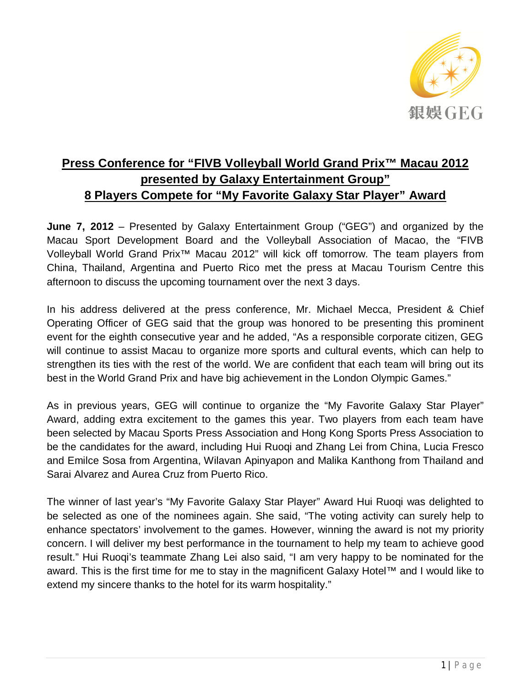

## **Press Conference for "FIVB Volleyball World Grand Prix™ Macau 2012 presented by Galaxy Entertainment Group" 8 Players Compete for "My Favorite Galaxy Star Player" Award**

**June 7, 2012** – Presented by Galaxy Entertainment Group ("GEG") and organized by the Macau Sport Development Board and the Volleyball Association of Macao, the "FIVB Volleyball World Grand Prix™ Macau 2012" will kick off tomorrow. The team players from China, Thailand, Argentina and Puerto Rico met the press at Macau Tourism Centre this afternoon to discuss the upcoming tournament over the next 3 days.

In his address delivered at the press conference, Mr. Michael Mecca, President & Chief Operating Officer of GEG said that the group was honored to be presenting this prominent event for the eighth consecutive year and he added, "As a responsible corporate citizen, GEG will continue to assist Macau to organize more sports and cultural events, which can help to strengthen its ties with the rest of the world. We are confident that each team will bring out its best in the World Grand Prix and have big achievement in the London Olympic Games."

As in previous years, GEG will continue to organize the "My Favorite Galaxy Star Player" Award, adding extra excitement to the games this year. Two players from each team have been selected by Macau Sports Press Association and Hong Kong Sports Press Association to be the candidates for the award, including Hui Ruoqi and Zhang Lei from China, Lucia Fresco and Emilce Sosa from Argentina, Wilavan Apinyapon and Malika Kanthong from Thailand and Sarai Alvarez and Aurea Cruz from Puerto Rico.

The winner of last year's "My Favorite Galaxy Star Player" Award Hui Ruoqi was delighted to be selected as one of the nominees again. She said, "The voting activity can surely help to enhance spectators' involvement to the games. However, winning the award is not my priority concern. I will deliver my best performance in the tournament to help my team to achieve good result." Hui Ruoqi's teammate Zhang Lei also said, "I am very happy to be nominated for the award. This is the first time for me to stay in the magnificent Galaxy Hotel™ and I would like to extend my sincere thanks to the hotel for its warm hospitality."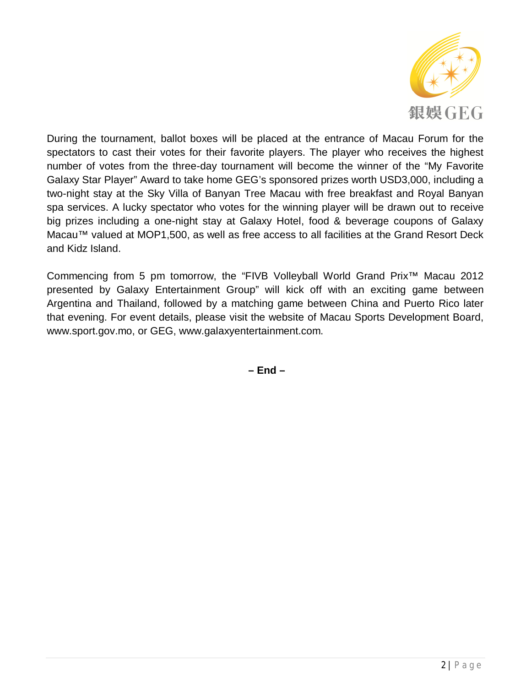

During the tournament, ballot boxes will be placed at the entrance of Macau Forum for the spectators to cast their votes for their favorite players. The player who receives the highest number of votes from the three-day tournament will become the winner of the "My Favorite Galaxy Star Player" Award to take home GEG's sponsored prizes worth USD3,000, including a two-night stay at the Sky Villa of Banyan Tree Macau with free breakfast and Royal Banyan spa services. A lucky spectator who votes for the winning player will be drawn out to receive big prizes including a one-night stay at Galaxy Hotel, food & beverage coupons of Galaxy Macau™ valued at MOP1,500, as well as free access to all facilities at the Grand Resort Deck and Kidz Island.

Commencing from 5 pm tomorrow, the "FIVB Volleyball World Grand Prix™ Macau 2012 presented by Galaxy Entertainment Group" will kick off with an exciting game between Argentina and Thailand, followed by a matching game between China and Puerto Rico later that evening. For event details, please visit the website of Macau Sports Development Board, www.sport.gov.mo, or GEG, www.galaxyentertainment.com.

**– End –**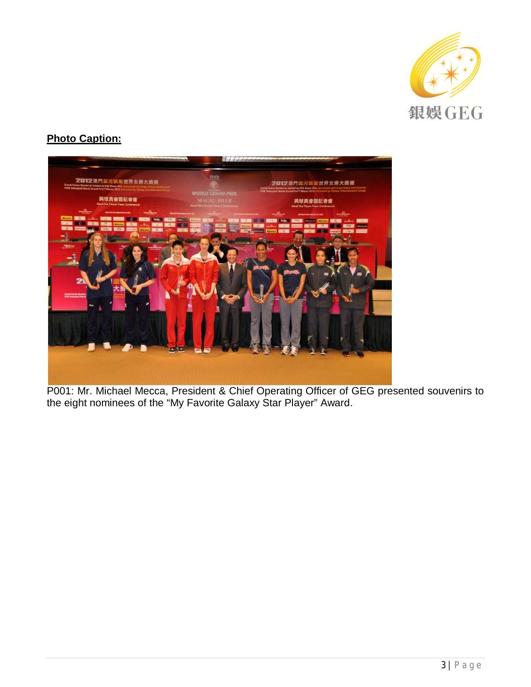

## **Photo Caption:**



P001: Mr. Michael Mecca, President & Chief Operating Officer of GEG presented souvenirs to the eight nominees of the "My Favorite Galaxy Star Player" Award.